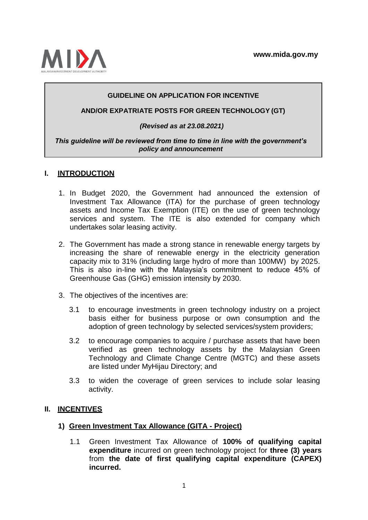

# **GUIDELINE ON APPLICATION FOR INCENTIVE**

#### **AND/OR EXPATRIATE POSTS FOR GREEN TECHNOLOGY (GT)**

#### *(Revised as at 23.08.2021)*

#### *This guideline will be reviewed from time to time in line with the government's policy and announcement*

# **I. INTRODUCTION**

- 1. In Budget 2020, the Government had announced the extension of Investment Tax Allowance (ITA) for the purchase of green technology assets and Income Tax Exemption (ITE) on the use of green technology services and system. The ITE is also extended for company which undertakes solar leasing activity.
- 2. The Government has made a strong stance in renewable energy targets by increasing the share of renewable energy in the electricity generation capacity mix to 31% (including large hydro of more than 100MW) by 2025. This is also in-line with the Malaysia's commitment to reduce 45% of Greenhouse Gas (GHG) emission intensity by 2030.
- 3. The objectives of the incentives are:
	- 3.1 to encourage investments in green technology industry on a project basis either for business purpose or own consumption and the adoption of green technology by selected services/system providers;
	- 3.2 to encourage companies to acquire / purchase assets that have been verified as green technology assets by the Malaysian Green Technology and Climate Change Centre (MGTC) and these assets are listed under MyHijau Directory; and
	- 3.3 to widen the coverage of green services to include solar leasing activity.

# **II. INCENTIVES**

#### **1) Green Investment Tax Allowance (GITA - Project)**

1.1 Green Investment Tax Allowance of **100% of qualifying capital expenditure** incurred on green technology project for **three (3) years** from **the date of first qualifying capital expenditure (CAPEX) incurred.**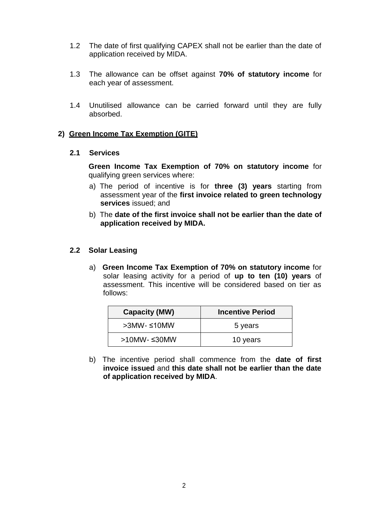- 1.2 The date of first qualifying CAPEX shall not be earlier than the date of application received by MIDA.
- 1.3 The allowance can be offset against **70% of statutory income** for each year of assessment.
- 1.4 Unutilised allowance can be carried forward until they are fully absorbed.

# **2) Green Income Tax Exemption (GITE)**

# **2.1 Services**

**Green Income Tax Exemption of 70% on statutory income** for qualifying green services where:

- a) The period of incentive is for **three (3) years** starting from assessment year of the **first invoice related to green technology services** issued; and
- b) The **date of the first invoice shall not be earlier than the date of application received by MIDA.**

# **2.2 Solar Leasing**

a) **Green Income Tax Exemption of 70% on statutory income** for solar leasing activity for a period of **up to ten (10) years** of assessment. This incentive will be considered based on tier as follows:

| <b>Capacity (MW)</b>   | <b>Incentive Period</b> |
|------------------------|-------------------------|
| $>3$ MW- $\leq 10$ MW  | 5 years                 |
| $>10$ MW- $\leq 30$ MW | 10 years                |

b) The incentive period shall commence from the **date of first invoice issued** and **this date shall not be earlier than the date of application received by MIDA**.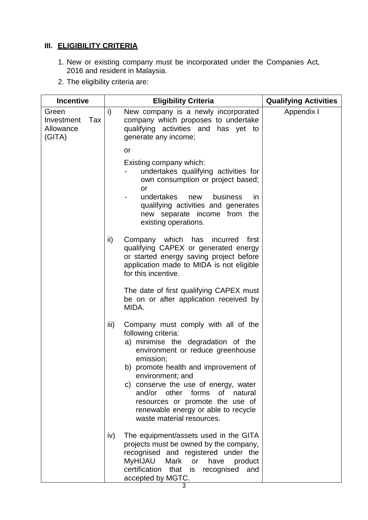# **III. ELIGIBILITY CRITERIA**

- 1. New or existing company must be incorporated under the Companies Act, 2016 and resident in Malaysia.
- 2. The eligibility criteria are:

| <b>Incentive</b>                                  |  | <b>Eligibility Criteria</b>                                                                                                                                                                                                                                                                                                                                                                              | <b>Qualifying Activities</b> |
|---------------------------------------------------|--|----------------------------------------------------------------------------------------------------------------------------------------------------------------------------------------------------------------------------------------------------------------------------------------------------------------------------------------------------------------------------------------------------------|------------------------------|
| Green<br>Tax<br>Investment<br>Allowance<br>(GITA) |  | i)<br>New company is a newly incorporated<br>company which proposes to undertake<br>qualifying activities and has yet to<br>generate any income;                                                                                                                                                                                                                                                         | Appendix I                   |
|                                                   |  | or                                                                                                                                                                                                                                                                                                                                                                                                       |                              |
|                                                   |  | Existing company which:<br>undertakes qualifying activities for<br>own consumption or project based;<br>or<br>undertakes<br>business<br>new<br>in.<br>qualifying activities and generates<br>new separate income from the<br>existing operations.                                                                                                                                                        |                              |
|                                                   |  | ii)<br>Company which has<br>incurred<br>first<br>qualifying CAPEX or generated energy<br>or started energy saving project before<br>application made to MIDA is not eligible<br>for this incentive.                                                                                                                                                                                                      |                              |
|                                                   |  | The date of first qualifying CAPEX must<br>be on or after application received by<br>MIDA.                                                                                                                                                                                                                                                                                                               |                              |
|                                                   |  | iii)<br>Company must comply with all of the<br>following criteria:<br>a) minimise the degradation of the<br>environment or reduce greenhouse<br>emission;<br>b) promote health and improvement of<br>environment; and<br>c) conserve the use of energy, water<br>and/or other forms of<br>natural<br>resources or promote the use of<br>renewable energy or able to recycle<br>waste material resources. |                              |
|                                                   |  | iv)<br>The equipment/assets used in the GITA<br>projects must be owned by the company,<br>recognised and registered under the<br><b>MyHIJAU</b><br>Mark<br>or<br>have<br>product<br>certification<br>that<br>recognised<br>is<br>and<br>accepted by MGTC.                                                                                                                                                |                              |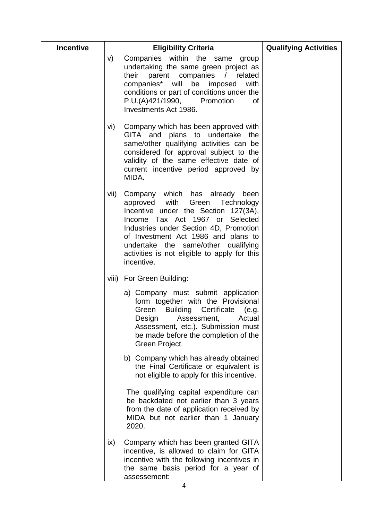| <b>Incentive</b> | <b>Eligibility Criteria</b>                                                                                                                                                                                                                                                                                                               | <b>Qualifying Activities</b> |
|------------------|-------------------------------------------------------------------------------------------------------------------------------------------------------------------------------------------------------------------------------------------------------------------------------------------------------------------------------------------|------------------------------|
|                  | Companies within the same<br>V)<br>group<br>undertaking the same green project as<br>their<br>parent companies /<br>related<br>companies* will<br>be imposed<br>with<br>conditions or part of conditions under the<br>P.U.(A)421/1990,<br>Promotion<br>0f<br>Investments Act 1986.                                                        |                              |
|                  | Company which has been approved with<br>vi)<br>GITA and plans to undertake<br>the<br>same/other qualifying activities can be<br>considered for approval subject to the<br>validity of the same effective date of<br>current incentive period approved by<br>MIDA.                                                                         |                              |
|                  | Company which has already been<br>vii)<br>approved with Green Technology<br>Incentive under the Section 127(3A),<br>Income Tax Act 1967 or Selected<br>Industries under Section 4D, Promotion<br>of Investment Act 1986 and plans to<br>undertake the same/other qualifying<br>activities is not eligible to apply for this<br>incentive. |                              |
|                  | viii) For Green Building:                                                                                                                                                                                                                                                                                                                 |                              |
|                  | a) Company must submit application<br>form together with the Provisional<br>Green Building Certificate (e.g.<br>Design Assessment,<br>Actual<br>Assessment, etc.). Submission must<br>be made before the completion of the<br>Green Project.                                                                                              |                              |
|                  | b) Company which has already obtained<br>the Final Certificate or equivalent is<br>not eligible to apply for this incentive.                                                                                                                                                                                                              |                              |
|                  | The qualifying capital expenditure can<br>be backdated not earlier than 3 years<br>from the date of application received by<br>MIDA but not earlier than 1 January<br>2020.                                                                                                                                                               |                              |
|                  | Company which has been granted GITA<br>$\mathsf{ix}$<br>incentive, is allowed to claim for GITA<br>incentive with the following incentives in<br>the same basis period for a year of<br>assessement:                                                                                                                                      |                              |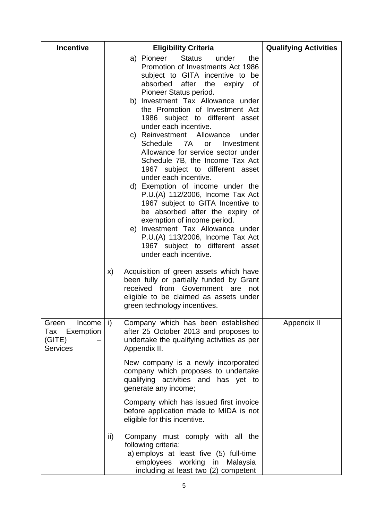| <b>Incentive</b>                                                 | <b>Eligibility Criteria</b>                                                                                                                                                                                                                                                                                                                                                                                                                                                                                                                                                                                                                                                                                                                                                                                                                                                                                                      | <b>Qualifying Activities</b> |
|------------------------------------------------------------------|----------------------------------------------------------------------------------------------------------------------------------------------------------------------------------------------------------------------------------------------------------------------------------------------------------------------------------------------------------------------------------------------------------------------------------------------------------------------------------------------------------------------------------------------------------------------------------------------------------------------------------------------------------------------------------------------------------------------------------------------------------------------------------------------------------------------------------------------------------------------------------------------------------------------------------|------------------------------|
|                                                                  | <b>Status</b><br>a) Pioneer<br>under<br>the<br>Promotion of Investments Act 1986<br>subject to GITA incentive to be<br>after<br>absorbed<br>the<br>expiry<br>0f<br>Pioneer Status period.<br>b) Investment Tax Allowance under<br>the Promotion of Investment Act<br>1986 subject to different asset<br>under each incentive.<br>c) Reinvestment Allowance<br>under<br>7A<br><b>Schedule</b><br>Investment<br><b>or</b><br>Allowance for service sector under<br>Schedule 7B, the Income Tax Act<br>1967 subject to different asset<br>under each incentive.<br>d) Exemption of income under the<br>P.U.(A) 112/2006, Income Tax Act<br>1967 subject to GITA Incentive to<br>be absorbed after the expiry of<br>exemption of income period.<br>e) Investment Tax Allowance under<br>P.U.(A) 113/2006, Income Tax Act<br>1967 subject to different asset<br>under each incentive.<br>X)<br>Acquisition of green assets which have |                              |
|                                                                  | been fully or partially funded by Grant<br>received from Government are<br>not<br>eligible to be claimed as assets under<br>green technology incentives.                                                                                                                                                                                                                                                                                                                                                                                                                                                                                                                                                                                                                                                                                                                                                                         |                              |
| Income<br>Green<br>Exemption<br>Tax<br>(GITE)<br><b>Services</b> | i)<br>Company which has been established<br>after 25 October 2013 and proposes to<br>undertake the qualifying activities as per<br>Appendix II.                                                                                                                                                                                                                                                                                                                                                                                                                                                                                                                                                                                                                                                                                                                                                                                  | Appendix II                  |
|                                                                  | New company is a newly incorporated<br>company which proposes to undertake<br>qualifying activities and has yet to<br>generate any income;                                                                                                                                                                                                                                                                                                                                                                                                                                                                                                                                                                                                                                                                                                                                                                                       |                              |
|                                                                  | Company which has issued first invoice<br>before application made to MIDA is not<br>eligible for this incentive.                                                                                                                                                                                                                                                                                                                                                                                                                                                                                                                                                                                                                                                                                                                                                                                                                 |                              |
|                                                                  | ii)<br>Company must comply with all the<br>following criteria:<br>a) employs at least five (5) full-time<br>employees working in Malaysia<br>including at least two (2) competent                                                                                                                                                                                                                                                                                                                                                                                                                                                                                                                                                                                                                                                                                                                                                |                              |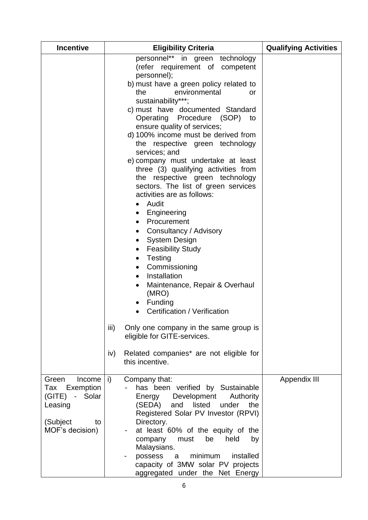| <b>Incentive</b>                                                                                         | <b>Eligibility Criteria</b>                                                                                                                                                                                                                                                                                                                                                                                                                                                                                                                                                                                                                                                                                                                                                                                                                                                                                                                                                                                                                                                   | <b>Qualifying Activities</b> |
|----------------------------------------------------------------------------------------------------------|-------------------------------------------------------------------------------------------------------------------------------------------------------------------------------------------------------------------------------------------------------------------------------------------------------------------------------------------------------------------------------------------------------------------------------------------------------------------------------------------------------------------------------------------------------------------------------------------------------------------------------------------------------------------------------------------------------------------------------------------------------------------------------------------------------------------------------------------------------------------------------------------------------------------------------------------------------------------------------------------------------------------------------------------------------------------------------|------------------------------|
|                                                                                                          | personnel** in green technology<br>(refer requirement of competent<br>personnel);<br>b) must have a green policy related to<br>environmental<br>the<br>or<br>sustainability***;<br>c) must have documented Standard<br>Operating Procedure<br>(SOP) to<br>ensure quality of services;<br>d) 100% income must be derived from<br>the respective green technology<br>services; and<br>e) company must undertake at least<br>three (3) qualifying activities from<br>the respective green technology<br>sectors. The list of green services<br>activities are as follows:<br>Audit<br>Engineering<br>$\bullet$<br>Procurement<br>Consultancy / Advisory<br>$\bullet$<br><b>System Design</b><br>$\bullet$<br><b>Feasibility Study</b><br>$\bullet$<br>Testing<br>$\bullet$<br>Commissioning<br>Installation<br>$\bullet$<br>Maintenance, Repair & Overhaul<br>$\bullet$<br>(MRO)<br>Funding<br>Certification / Verification<br>iii)<br>Only one company in the same group is<br>eligible for GITE-services.<br>Related companies* are not eligible for<br>iv)<br>this incentive. |                              |
| Green<br>Income<br>Exemption<br>Tax<br>- Solar<br>(GITE)<br>Leasing<br>(Subject<br>to<br>MOF's decision) | i)<br>Company that:<br>has been verified by Sustainable<br>Development<br>Authority<br>Energy<br>(SEDA)<br>and<br>listed<br>under<br>the<br>Registered Solar PV Investor (RPVI)<br>Directory.<br>at least 60% of the equity of the<br>$\sim$<br>be<br>held<br>company<br>must<br>by<br>Malaysians.<br>minimum<br>installed<br>possess<br>a<br>capacity of 3MW solar PV projects<br>aggregated under the Net Energy                                                                                                                                                                                                                                                                                                                                                                                                                                                                                                                                                                                                                                                            | Appendix III                 |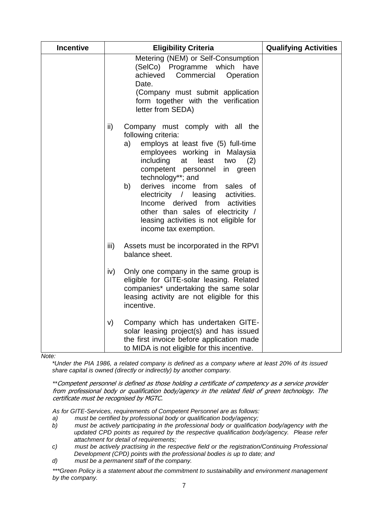| <b>Incentive</b> | <b>Eligibility Criteria</b>                                                                                                                                                                                                                                                                                                                                                                                                                                                     | <b>Qualifying Activities</b> |
|------------------|---------------------------------------------------------------------------------------------------------------------------------------------------------------------------------------------------------------------------------------------------------------------------------------------------------------------------------------------------------------------------------------------------------------------------------------------------------------------------------|------------------------------|
|                  | Metering (NEM) or Self-Consumption<br>(SelCo) Programme which<br>have<br>achieved<br>Commercial<br>Operation<br>Date.<br>(Company must submit application<br>form together with the verification<br>letter from SEDA)                                                                                                                                                                                                                                                           |                              |
|                  | ii)<br>Company must comply with all the<br>following criteria:<br>employs at least five (5) full-time<br>a)<br>employees working in Malaysia<br>including<br>at<br>least<br>two<br>(2)<br>competent personnel<br>in<br>green<br>technology**; and<br>b)<br>derives income from<br>sales of<br>activities.<br>electricity / leasing<br>Income derived from<br>activities<br>other than sales of electricity /<br>leasing activities is not eligible for<br>income tax exemption. |                              |
|                  | iii)<br>Assets must be incorporated in the RPVI<br>balance sheet.                                                                                                                                                                                                                                                                                                                                                                                                               |                              |
|                  | iv)<br>Only one company in the same group is<br>eligible for GITE-solar leasing. Related<br>companies* undertaking the same solar<br>leasing activity are not eligible for this<br>incentive.                                                                                                                                                                                                                                                                                   |                              |
|                  | Company which has undertaken GITE-<br>V)<br>solar leasing project(s) and has issued<br>the first invoice before application made<br>to MIDA is not eligible for this incentive.                                                                                                                                                                                                                                                                                                 |                              |

 *Note:*

*\*Under the PIA 1986, a related company is defined as a company where at least 20% of its issued share capital is owned (directly or indirectly) by another company.*

*\*\**Competent personnel is defined as those holding a certificate of competency as a service provider from professional body or qualification body/agency in the related field of green technology. The certificate must be recognised by MGTC.

*As for GITE-Services, requirements of Competent Personnel are as follows:*

- *a) must be certified by professional body or qualification body/agency;*
- *b) must be actively participating in the professional body or qualification body/agency with the updated CPD points as required by the respective qualification body/agency. Please refer attachment for detail of requirements;*
- *c) must be actively practising in the respective field or the registration/Continuing Professional Development (CPD) points with the professional bodies is up to date; and*
- *d) must be a permanent staff of the company.*

*\*\*\*Green Policy is a statement about the commitment to sustainability and environment management by the company.*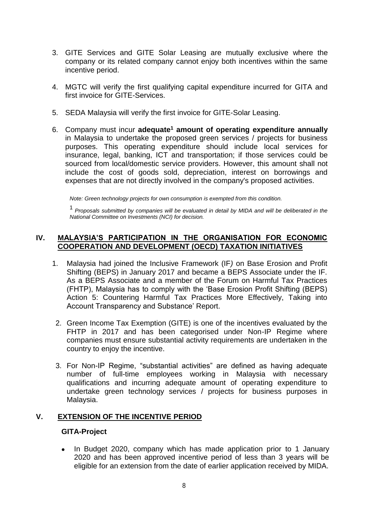- 3. GITE Services and GITE Solar Leasing are mutually exclusive where the company or its related company cannot enjoy both incentives within the same incentive period.
- 4. MGTC will verify the first qualifying capital expenditure incurred for GITA and first invoice for GITE-Services.
- 5. SEDA Malaysia will verify the first invoice for GITE-Solar Leasing.
- 6. Company must incur **adequate<sup>1</sup> amount of operating expenditure annually** in Malaysia to undertake the proposed green services / projects for business purposes. This operating expenditure should include local services for insurance, legal, banking, ICT and transportation; if those services could be sourced from local/domestic service providers. However, this amount shall not include the cost of goods sold, depreciation, interest on borrowings and expenses that are not directly involved in the company's proposed activities.

*Note: Green technology projects for own consumption is exempted from this condition.*

<sup>1</sup>*Proposals submitted by companies will be evaluated in detail by MIDA and will be deliberated in the National Committee on Investments (NCI) for decision.*

# **IV. MALAYSIA'S PARTICIPATION IN THE ORGANISATION FOR ECONOMIC COOPERATION AND DEVELOPMENT (OECD) TAXATION INITIATIVES**

- 1. Malaysia had joined the Inclusive Framework (IF*)* on Base Erosion and Profit Shifting (BEPS) in January 2017 and became a BEPS Associate under the IF. As a BEPS Associate and a member of the Forum on Harmful Tax Practices (FHTP), Malaysia has to comply with the 'Base Erosion Profit Shifting (BEPS) Action 5: Countering Harmful Tax Practices More Effectively, Taking into Account Transparency and Substance' Report.
- 2. Green Income Tax Exemption (GITE) is one of the incentives evaluated by the FHTP in 2017 and has been categorised under Non-IP Regime where companies must ensure substantial activity requirements are undertaken in the country to enjoy the incentive.
- 3. For Non-IP Regime, "substantial activities" are defined as having adequate number of full-time employees working in Malaysia with necessary qualifications and incurring adequate amount of operating expenditure to undertake green technology services / projects for business purposes in Malaysia.

# **V. EXTENSION OF THE INCENTIVE PERIOD**

# **GITA-Project**

• In Budget 2020, company which has made application prior to 1 January 2020 and has been approved incentive period of less than 3 years will be eligible for an extension from the date of earlier application received by MIDA.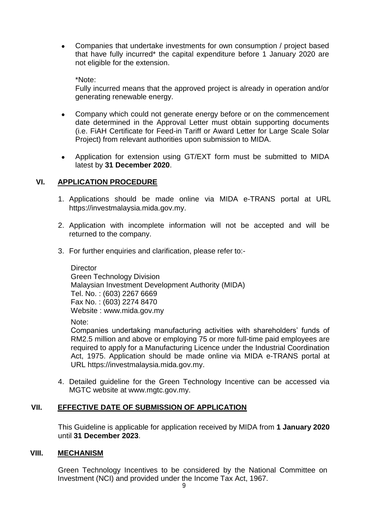• Companies that undertake investments for own consumption / project based that have fully incurred\* the capital expenditure before 1 January 2020 are not eligible for the extension.

\*Note:

Fully incurred means that the approved project is already in operation and/or generating renewable energy.

- Company which could not generate energy before or on the commencement date determined in the Approval Letter must obtain supporting documents (i.e. FiAH Certificate for Feed-in Tariff or Award Letter for Large Scale Solar Project) from relevant authorities upon submission to MIDA.
- Application for extension using GT/EXT form must be submitted to MIDA latest by **31 December 2020**.

# **VI. APPLICATION PROCEDURE**

- 1. Applications should be made online via MIDA e-TRANS portal at URL [https://investmalaysia.mida.gov.my.](https://investmalaysia.mida.gov.my/)
- 2. Application with incomplete information will not be accepted and will be returned to the company.
- 3. For further enquiries and clarification, please refer to:-

**Director** Green Technology Division Malaysian Investment Development Authority (MIDA) Tel. No. : (603) 2267 6669 Fax No. : (603) 2274 8470 Website : [www.mida.gov.my](http://www.mida.gov.my/)

Note:

Companies undertaking manufacturing activities with shareholders' funds of RM2.5 million and above or employing 75 or more full-time paid employees are required to apply for a Manufacturing Licence under the Industrial Coordination Act, 1975. Application should be made online via MIDA e-TRANS portal at URL [https://investmalaysia.mida.gov.my.](https://investmalaysia.mida.gov.my/)

4. Detailed guideline for the Green Technology Incentive can be accessed via MGTC website at www.mgtc.gov.my.

# **VII. EFFECTIVE DATE OF SUBMISSION OF APPLICATION**

This Guideline is applicable for application received by MIDA from **1 January 2020** until **31 December 2023**.

# **VIII. MECHANISM**

Green Technology Incentives to be considered by the National Committee on Investment (NCI) and provided under the Income Tax Act, 1967.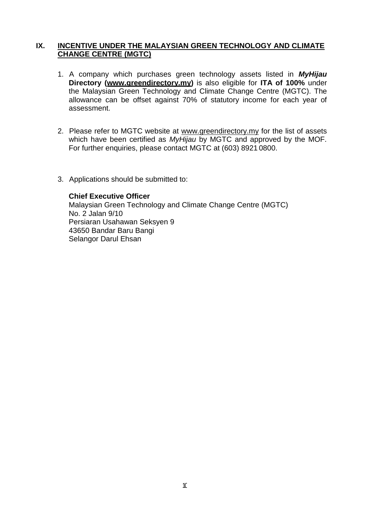# **IX. INCENTIVE UNDER THE MALAYSIAN GREEN TECHNOLOGY AND CLIMATE CHANGE CENTRE (MGTC)**

- 1. A company which purchases green technology assets listed in *MyHijau*  **Directory [\(www.greendirectory.my\)](http://www.greendirectory.my/)** is also eligible for **ITA of 100%** under the Malaysian Green Technology and Climate Change Centre (MGTC). The allowance can be offset against 70% of statutory income for each year of assessment.
- 2. Please refer to MGTC website at [www.greendirectory.my](http://www.greendirectory.my/) for the list of assets which have been certified as *MyHijau* by MGTC and approved by the MOF. For further enquiries, please contact MGTC at (603) 8921 0800.
- 3. Applications should be submitted to:

#### **Chief Executive Officer**

Malaysian Green Technology and Climate Change Centre (MGTC) No. 2 Jalan 9/10 Persiaran Usahawan Seksyen 9 43650 Bandar Baru Bangi Selangor Darul Ehsan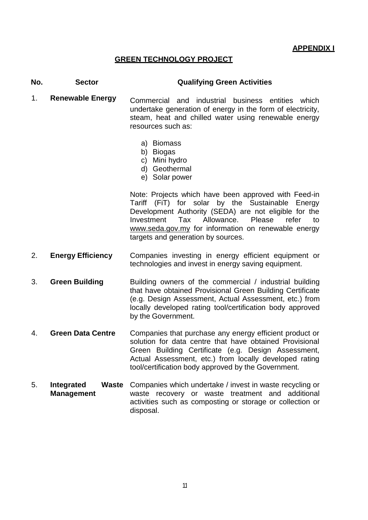# **GREEN TECHNOLOGY PROJECT**

# **No. Sector Qualifying Green Activities**

- 1. **Renewable Energy** Commercial and industrial business entities which undertake generation of energy in the form of electricity, steam, heat and chilled water using renewable energy resources such as:
	- a) Biomass
	- b) Biogas
	- c) Mini hydro
	- d) Geothermal
	- e) Solar power

Note: Projects which have been approved with Feed-in Tariff (FiT) for solar by the Sustainable Energy Development Authority (SEDA) are not eligible for the Investment Tax Allowance. Please refer to [www.seda.gov.my](http://www.seda.gov.my/) for information on renewable energy targets and generation by sources.

- 2. **Energy Efficiency** Companies investing in energy efficient equipment or technologies and invest in energy saving equipment.
- 3. **Green Building** Building owners of the commercial / industrial building that have obtained Provisional Green Building Certificate (e.g. Design Assessment, Actual Assessment, etc.) from locally developed rating tool/certification body approved by the Government.
- 4. **Green Data Centre** Companies that purchase any energy efficient product or solution for data centre that have obtained Provisional Green Building Certificate (e.g. Design Assessment, Actual Assessment, etc.) from locally developed rating tool/certification body approved by the Government.
- 5. **Integrated Management** Waste Companies which undertake / invest in waste recycling or waste recovery or waste treatment and additional activities such as composting or storage or collection or disposal.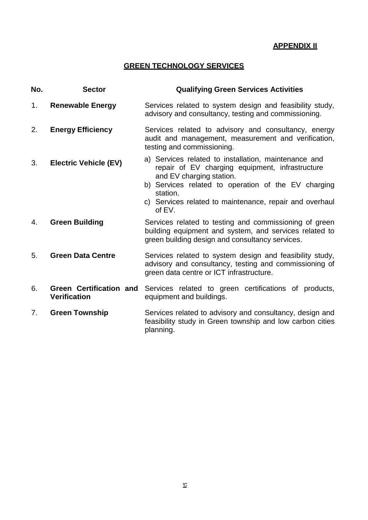# **APPENDIX II**

# **GREEN TECHNOLOGY SERVICES**

| No. | <b>Sector</b>                                         | <b>Qualifying Green Services Activities</b>                                                                                                                                                                                                                                 |
|-----|-------------------------------------------------------|-----------------------------------------------------------------------------------------------------------------------------------------------------------------------------------------------------------------------------------------------------------------------------|
| 1.  | <b>Renewable Energy</b>                               | Services related to system design and feasibility study,<br>advisory and consultancy, testing and commissioning.                                                                                                                                                            |
| 2.  | <b>Energy Efficiency</b>                              | Services related to advisory and consultancy, energy<br>audit and management, measurement and verification,<br>testing and commissioning.                                                                                                                                   |
| 3.  | <b>Electric Vehicle (EV)</b>                          | a) Services related to installation, maintenance and<br>repair of EV charging equipment, infrastructure<br>and EV charging station.<br>b) Services related to operation of the EV charging<br>station.<br>c) Services related to maintenance, repair and overhaul<br>of EV. |
| 4.  | <b>Green Building</b>                                 | Services related to testing and commissioning of green<br>building equipment and system, and services related to<br>green building design and consultancy services.                                                                                                         |
| 5.  | <b>Green Data Centre</b>                              | Services related to system design and feasibility study,<br>advisory and consultancy, testing and commissioning of<br>green data centre or ICT infrastructure.                                                                                                              |
| 6.  | <b>Green Certification and</b><br><b>Verification</b> | Services related to green certifications of products,<br>equipment and buildings.                                                                                                                                                                                           |
| 7.  | <b>Green Township</b>                                 | Services related to advisory and consultancy, design and<br>feasibility study in Green township and low carbon cities<br>planning.                                                                                                                                          |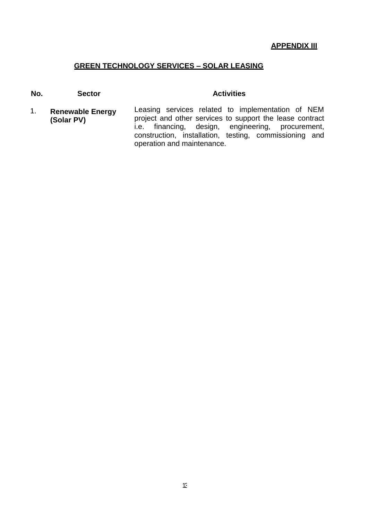#### **APPENDIX III**

# **GREEN TECHNOLOGY SERVICES – SOLAR LEASING**

**No. Sector Activities** 

1. **Renewable Energy (Solar PV)** Leasing services related to implementation of NEM project and other services to support the lease contract i.e. financing, design, engineering, procurement, construction, installation, testing, commissioning and operation and maintenance.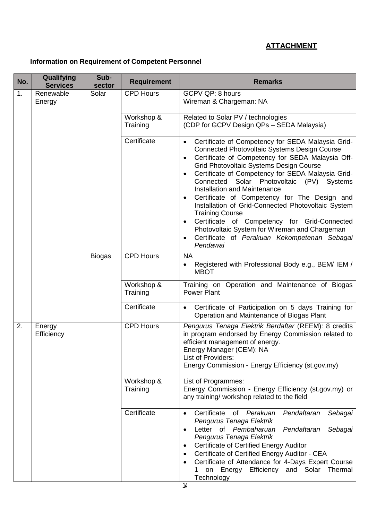# **ATTACHMENT**

# **Information on Requirement of Competent Personnel**

| No.          | Qualifying<br><b>Services</b> | Sub-<br>sector | <b>Requirement</b>     | <b>Remarks</b>                                                                                                                                                                                                                                                                                                                                                                                                                                                                                                                                                                                                                                                                                                           |
|--------------|-------------------------------|----------------|------------------------|--------------------------------------------------------------------------------------------------------------------------------------------------------------------------------------------------------------------------------------------------------------------------------------------------------------------------------------------------------------------------------------------------------------------------------------------------------------------------------------------------------------------------------------------------------------------------------------------------------------------------------------------------------------------------------------------------------------------------|
| 1.           | Renewable<br>Energy           | Solar          | <b>CPD Hours</b>       | GCPV QP: 8 hours<br>Wireman & Chargeman: NA                                                                                                                                                                                                                                                                                                                                                                                                                                                                                                                                                                                                                                                                              |
|              |                               |                | Workshop &<br>Training | Related to Solar PV / technologies<br>(CDP for GCPV Design QPs - SEDA Malaysia)                                                                                                                                                                                                                                                                                                                                                                                                                                                                                                                                                                                                                                          |
|              |                               |                | Certificate            | Certificate of Competency for SEDA Malaysia Grid-<br>$\bullet$<br><b>Connected Photovoltaic Systems Design Course</b><br>Certificate of Competency for SEDA Malaysia Off-<br>$\bullet$<br><b>Grid Photovoltaic Systems Design Course</b><br>Certificate of Competency for SEDA Malaysia Grid-<br>$\bullet$<br>Connected Solar<br>Photovoltaic (PV) Systems<br><b>Installation and Maintenance</b><br>Certificate of Competency for The Design and<br>$\bullet$<br>Installation of Grid-Connected Photovoltaic System<br><b>Training Course</b><br>Certificate of Competency for Grid-Connected<br>$\bullet$<br>Photovoltaic System for Wireman and Chargeman<br>Certificate of Perakuan Kekompetenan Sebagai<br>Pendawai |
|              |                               | <b>Biogas</b>  | <b>CPD Hours</b>       | <b>NA</b><br>Registered with Professional Body e.g., BEM/ IEM /<br>٠<br><b>MBOT</b>                                                                                                                                                                                                                                                                                                                                                                                                                                                                                                                                                                                                                                      |
|              |                               |                | Workshop &<br>Training | Training on Operation and Maintenance of Biogas<br><b>Power Plant</b>                                                                                                                                                                                                                                                                                                                                                                                                                                                                                                                                                                                                                                                    |
|              |                               |                | Certificate            | Certificate of Participation on 5 days Training for<br>$\bullet$<br>Operation and Maintenance of Biogas Plant                                                                                                                                                                                                                                                                                                                                                                                                                                                                                                                                                                                                            |
| 2.<br>Energy | Efficiency                    |                | <b>CPD Hours</b>       | Pengurus Tenaga Elektrik Berdaftar (REEM): 8 credits<br>in program endorsed by Energy Commission related to<br>efficient management of energy.<br>Energy Manager (CEM): NA<br>List of Providers:<br>Energy Commission - Energy Efficiency (st.gov.my)                                                                                                                                                                                                                                                                                                                                                                                                                                                                    |
|              |                               |                | Workshop &<br>Training | List of Programmes:<br>Energy Commission - Energy Efficiency (st.gov.my) or<br>any training/ workshop related to the field                                                                                                                                                                                                                                                                                                                                                                                                                                                                                                                                                                                               |
|              |                               |                | Certificate            | Certificate of Perakuan<br>Pendaftaran<br>Sebagai<br>$\bullet$<br>Pengurus Tenaga Elektrik<br>Letter of Pembaharuan<br>Pendaftaran<br>Sebagai<br>$\bullet$<br>Pengurus Tenaga Elektrik<br>Certificate of Certified Energy Auditor<br>٠<br>Certificate of Certified Energy Auditor - CEA<br>٠<br>Certificate of Attendance for 4-Days Expert Course<br>٠<br>on Energy Efficiency and Solar Thermal<br>1<br>Technology                                                                                                                                                                                                                                                                                                     |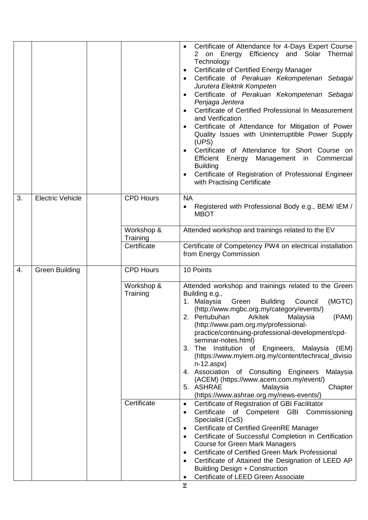|    |                         |                        | Certificate of Attendance for 4-Days Expert Course<br>2 on Energy Efficiency and Solar Thermal<br>Technology<br>Certificate of Certified Energy Manager<br>٠<br>Certificate of Perakuan Kekompetenan Sebagai<br>$\bullet$<br>Jurutera Elektrik Kompeten<br>Certificate of Perakuan Kekompetenan Sebagai<br>Penjaga Jentera<br>Certificate of Certified Professional In Measurement<br>and Verification<br>Certificate of Attendance for Mitigation of Power<br>$\bullet$<br>Quality Issues with Uninterruptible Power Supply<br>(UPS)<br>Certificate of Attendance for Short Course on<br>Efficient<br>Management in Commercial<br>Energy<br><b>Building</b><br>Certificate of Registration of Professional Engineer<br>with Practising Certificate |
|----|-------------------------|------------------------|-----------------------------------------------------------------------------------------------------------------------------------------------------------------------------------------------------------------------------------------------------------------------------------------------------------------------------------------------------------------------------------------------------------------------------------------------------------------------------------------------------------------------------------------------------------------------------------------------------------------------------------------------------------------------------------------------------------------------------------------------------|
| 3. | <b>Electric Vehicle</b> | <b>CPD Hours</b>       | <b>NA</b><br>Registered with Professional Body e.g., BEM/ IEM /<br><b>MBOT</b>                                                                                                                                                                                                                                                                                                                                                                                                                                                                                                                                                                                                                                                                      |
|    |                         | Workshop &<br>Training | Attended workshop and trainings related to the EV                                                                                                                                                                                                                                                                                                                                                                                                                                                                                                                                                                                                                                                                                                   |
|    |                         | Certificate            | Certificate of Competency PW4 on electrical installation<br>from Energy Commission                                                                                                                                                                                                                                                                                                                                                                                                                                                                                                                                                                                                                                                                  |
| 4. | <b>Green Building</b>   | <b>CPD Hours</b>       | 10 Points                                                                                                                                                                                                                                                                                                                                                                                                                                                                                                                                                                                                                                                                                                                                           |
|    |                         | Workshop &<br>Training | Attended workshop and trainings related to the Green<br>Building e.g.,<br>(MGTC)<br>1. Malaysia<br>Green<br><b>Building</b><br>Council<br>(http://www.mgbc.org.my/category/events/)<br>2. Pertubuhan Arkitek Malaysia<br>(PAM)<br>(http://www.pam.org.my/professional-<br>practice/continuing-professional-development/cpd-<br>seminar-notes.html)<br>3. The Institution of Engineers,<br>Malaysia<br>(IEM)<br>(https://www.myiem.org.my/content/technical_divisio<br>$n-12.aspx)$<br>4. Association of Consulting Engineers<br>Malaysia<br>(ACEM) (https://www.acem.com.my/event/)<br>5. ASHRAE<br>Malaysia<br>Chapter<br>(https://www.ashrae.org.my/news-events/)                                                                                 |
|    |                         | Certificate            | Certificate of Registration of GBI Facilitator<br>$\bullet$<br>Certificate of Competent GBI Commissioning<br>$\bullet$<br>Specialist (CxS)<br>Certificate of Certified GreenRE Manager<br>٠<br>Certificate of Successful Completion in Certification<br>$\bullet$<br><b>Course for Green Mark Managers</b><br>Certificate of Certified Green Mark Professional<br>$\bullet$<br>Certificate of Attained the Designation of LEED AP<br>Building Design + Construction<br>Certificate of LEED Green Associate                                                                                                                                                                                                                                          |